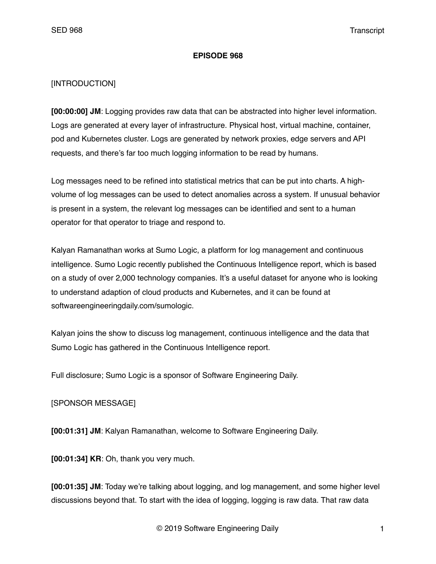## **EPISODE 968**

## [INTRODUCTION]

**[00:00:00] JM**: Logging provides raw data that can be abstracted into higher level information. Logs are generated at every layer of infrastructure. Physical host, virtual machine, container, pod and Kubernetes cluster. Logs are generated by network proxies, edge servers and API requests, and there's far too much logging information to be read by humans.

Log messages need to be refined into statistical metrics that can be put into charts. A highvolume of log messages can be used to detect anomalies across a system. If unusual behavior is present in a system, the relevant log messages can be identified and sent to a human operator for that operator to triage and respond to.

Kalyan Ramanathan works at Sumo Logic, a platform for log management and continuous intelligence. Sumo Logic recently published the Continuous Intelligence report, which is based on a study of over 2,000 technology companies. It's a useful dataset for anyone who is looking to understand adaption of cloud products and Kubernetes, and it can be found at softwareengineeringdaily.com/sumologic.

Kalyan joins the show to discuss log management, continuous intelligence and the data that Sumo Logic has gathered in the Continuous Intelligence report.

Full disclosure; Sumo Logic is a sponsor of Software Engineering Daily.

## [SPONSOR MESSAGE]

**[00:01:31] JM**: Kalyan Ramanathan, welcome to Software Engineering Daily.

**[00:01:34] KR**: Oh, thank you very much.

**[00:01:35] JM**: Today we're talking about logging, and log management, and some higher level discussions beyond that. To start with the idea of logging, logging is raw data. That raw data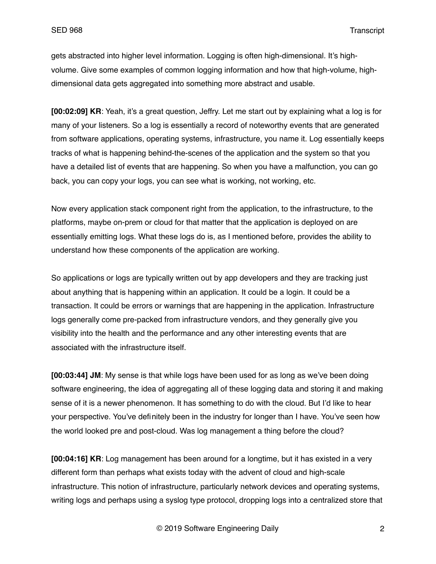gets abstracted into higher level information. Logging is often high-dimensional. It's highvolume. Give some examples of common logging information and how that high-volume, highdimensional data gets aggregated into something more abstract and usable.

**[00:02:09] KR**: Yeah, it's a great question, Jeffry. Let me start out by explaining what a log is for many of your listeners. So a log is essentially a record of noteworthy events that are generated from software applications, operating systems, infrastructure, you name it. Log essentially keeps tracks of what is happening behind-the-scenes of the application and the system so that you have a detailed list of events that are happening. So when you have a malfunction, you can go back, you can copy your logs, you can see what is working, not working, etc.

Now every application stack component right from the application, to the infrastructure, to the platforms, maybe on-prem or cloud for that matter that the application is deployed on are essentially emitting logs. What these logs do is, as I mentioned before, provides the ability to understand how these components of the application are working.

So applications or logs are typically written out by app developers and they are tracking just about anything that is happening within an application. It could be a login. It could be a transaction. It could be errors or warnings that are happening in the application. Infrastructure logs generally come pre-packed from infrastructure vendors, and they generally give you visibility into the health and the performance and any other interesting events that are associated with the infrastructure itself.

**[00:03:44] JM**: My sense is that while logs have been used for as long as we've been doing software engineering, the idea of aggregating all of these logging data and storing it and making sense of it is a newer phenomenon. It has something to do with the cloud. But I'd like to hear your perspective. You've definitely been in the industry for longer than I have. You've seen how the world looked pre and post-cloud. Was log management a thing before the cloud?

**[00:04:16] KR**: Log management has been around for a longtime, but it has existed in a very different form than perhaps what exists today with the advent of cloud and high-scale infrastructure. This notion of infrastructure, particularly network devices and operating systems, writing logs and perhaps using a syslog type protocol, dropping logs into a centralized store that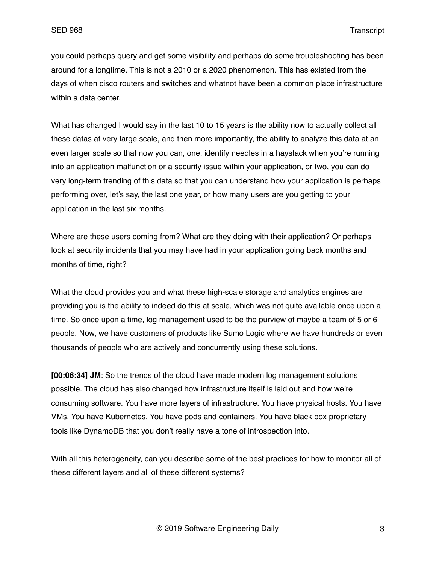you could perhaps query and get some visibility and perhaps do some troubleshooting has been around for a longtime. This is not a 2010 or a 2020 phenomenon. This has existed from the days of when cisco routers and switches and whatnot have been a common place infrastructure within a data center.

What has changed I would say in the last 10 to 15 years is the ability now to actually collect all these datas at very large scale, and then more importantly, the ability to analyze this data at an even larger scale so that now you can, one, identify needles in a haystack when you're running into an application malfunction or a security issue within your application, or two, you can do very long-term trending of this data so that you can understand how your application is perhaps performing over, let's say, the last one year, or how many users are you getting to your application in the last six months.

Where are these users coming from? What are they doing with their application? Or perhaps look at security incidents that you may have had in your application going back months and months of time, right?

What the cloud provides you and what these high-scale storage and analytics engines are providing you is the ability to indeed do this at scale, which was not quite available once upon a time. So once upon a time, log management used to be the purview of maybe a team of 5 or 6 people. Now, we have customers of products like Sumo Logic where we have hundreds or even thousands of people who are actively and concurrently using these solutions.

**[00:06:34] JM**: So the trends of the cloud have made modern log management solutions possible. The cloud has also changed how infrastructure itself is laid out and how we're consuming software. You have more layers of infrastructure. You have physical hosts. You have VMs. You have Kubernetes. You have pods and containers. You have black box proprietary tools like DynamoDB that you don't really have a tone of introspection into.

With all this heterogeneity, can you describe some of the best practices for how to monitor all of these different layers and all of these different systems?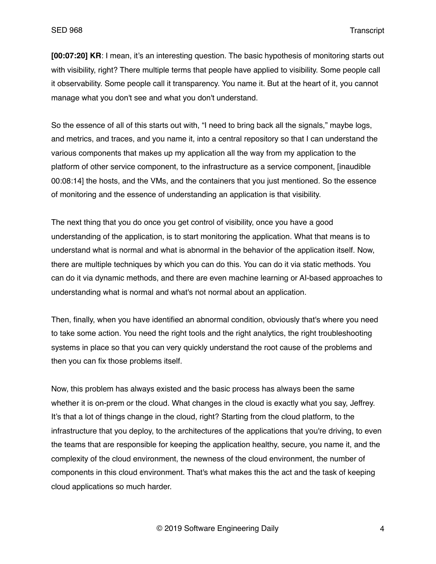**[00:07:20] KR**: I mean, it's an interesting question. The basic hypothesis of monitoring starts out with visibility, right? There multiple terms that people have applied to visibility. Some people call it observability. Some people call it transparency. You name it. But at the heart of it, you cannot manage what you don't see and what you don't understand.

So the essence of all of this starts out with, "I need to bring back all the signals," maybe logs, and metrics, and traces, and you name it, into a central repository so that I can understand the various components that makes up my application all the way from my application to the platform of other service component, to the infrastructure as a service component, [inaudible 00:08:14] the hosts, and the VMs, and the containers that you just mentioned. So the essence of monitoring and the essence of understanding an application is that visibility.

The next thing that you do once you get control of visibility, once you have a good understanding of the application, is to start monitoring the application. What that means is to understand what is normal and what is abnormal in the behavior of the application itself. Now, there are multiple techniques by which you can do this. You can do it via static methods. You can do it via dynamic methods, and there are even machine learning or AI-based approaches to understanding what is normal and what's not normal about an application.

Then, finally, when you have identified an abnormal condition, obviously that's where you need to take some action. You need the right tools and the right analytics, the right troubleshooting systems in place so that you can very quickly understand the root cause of the problems and then you can fix those problems itself.

Now, this problem has always existed and the basic process has always been the same whether it is on-prem or the cloud. What changes in the cloud is exactly what you say, Jeffrey. It's that a lot of things change in the cloud, right? Starting from the cloud platform, to the infrastructure that you deploy, to the architectures of the applications that you're driving, to even the teams that are responsible for keeping the application healthy, secure, you name it, and the complexity of the cloud environment, the newness of the cloud environment, the number of components in this cloud environment. That's what makes this the act and the task of keeping cloud applications so much harder.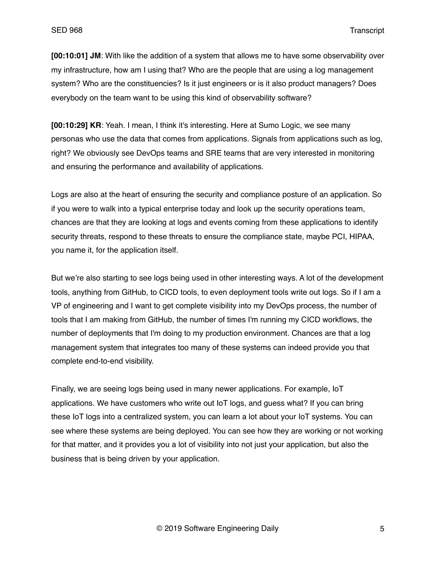**[00:10:01] JM**: With like the addition of a system that allows me to have some observability over my infrastructure, how am I using that? Who are the people that are using a log management system? Who are the constituencies? Is it just engineers or is it also product managers? Does everybody on the team want to be using this kind of observability software?

**[00:10:29] KR**: Yeah. I mean, I think it's interesting. Here at Sumo Logic, we see many personas who use the data that comes from applications. Signals from applications such as log, right? We obviously see DevOps teams and SRE teams that are very interested in monitoring and ensuring the performance and availability of applications.

Logs are also at the heart of ensuring the security and compliance posture of an application. So if you were to walk into a typical enterprise today and look up the security operations team, chances are that they are looking at logs and events coming from these applications to identify security threats, respond to these threats to ensure the compliance state, maybe PCI, HIPAA, you name it, for the application itself.

But we're also starting to see logs being used in other interesting ways. A lot of the development tools, anything from GitHub, to CICD tools, to even deployment tools write out logs. So if I am a VP of engineering and I want to get complete visibility into my DevOps process, the number of tools that I am making from GitHub, the number of times I'm running my CICD workflows, the number of deployments that I'm doing to my production environment. Chances are that a log management system that integrates too many of these systems can indeed provide you that complete end-to-end visibility.

Finally, we are seeing logs being used in many newer applications. For example, IoT applications. We have customers who write out IoT logs, and guess what? If you can bring these IoT logs into a centralized system, you can learn a lot about your IoT systems. You can see where these systems are being deployed. You can see how they are working or not working for that matter, and it provides you a lot of visibility into not just your application, but also the business that is being driven by your application.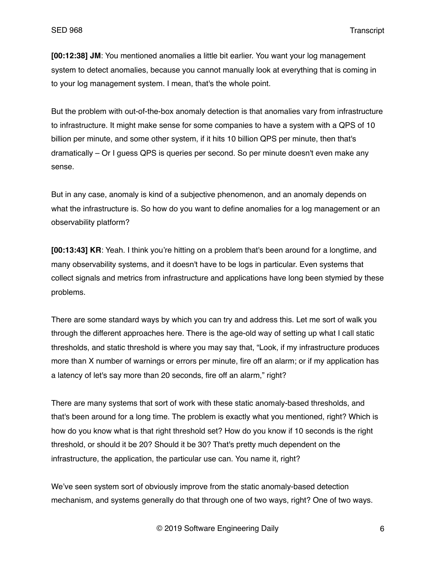**[00:12:38] JM**: You mentioned anomalies a little bit earlier. You want your log management system to detect anomalies, because you cannot manually look at everything that is coming in to your log management system. I mean, that's the whole point.

But the problem with out-of-the-box anomaly detection is that anomalies vary from infrastructure to infrastructure. It might make sense for some companies to have a system with a QPS of 10 billion per minute, and some other system, if it hits 10 billion QPS per minute, then that's dramatically – Or I guess QPS is queries per second. So per minute doesn't even make any sense.

But in any case, anomaly is kind of a subjective phenomenon, and an anomaly depends on what the infrastructure is. So how do you want to define anomalies for a log management or an observability platform?

**[00:13:43] KR**: Yeah. I think you're hitting on a problem that's been around for a longtime, and many observability systems, and it doesn't have to be logs in particular. Even systems that collect signals and metrics from infrastructure and applications have long been stymied by these problems.

There are some standard ways by which you can try and address this. Let me sort of walk you through the different approaches here. There is the age-old way of setting up what I call static thresholds, and static threshold is where you may say that, "Look, if my infrastructure produces more than X number of warnings or errors per minute, fire off an alarm; or if my application has a latency of let's say more than 20 seconds, fire off an alarm," right?

There are many systems that sort of work with these static anomaly-based thresholds, and that's been around for a long time. The problem is exactly what you mentioned, right? Which is how do you know what is that right threshold set? How do you know if 10 seconds is the right threshold, or should it be 20? Should it be 30? That's pretty much dependent on the infrastructure, the application, the particular use can. You name it, right?

We've seen system sort of obviously improve from the static anomaly-based detection mechanism, and systems generally do that through one of two ways, right? One of two ways.

© 2019 Software Engineering Daily 6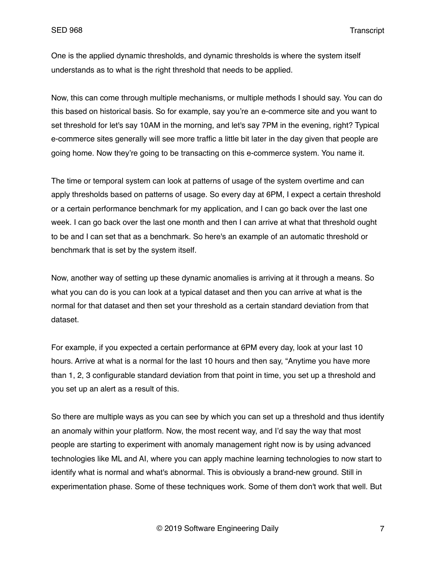One is the applied dynamic thresholds, and dynamic thresholds is where the system itself understands as to what is the right threshold that needs to be applied.

Now, this can come through multiple mechanisms, or multiple methods I should say. You can do this based on historical basis. So for example, say you're an e-commerce site and you want to set threshold for let's say 10AM in the morning, and let's say 7PM in the evening, right? Typical e-commerce sites generally will see more traffic a little bit later in the day given that people are going home. Now they're going to be transacting on this e-commerce system. You name it.

The time or temporal system can look at patterns of usage of the system overtime and can apply thresholds based on patterns of usage. So every day at 6PM, I expect a certain threshold or a certain performance benchmark for my application, and I can go back over the last one week. I can go back over the last one month and then I can arrive at what that threshold ought to be and I can set that as a benchmark. So here's an example of an automatic threshold or benchmark that is set by the system itself.

Now, another way of setting up these dynamic anomalies is arriving at it through a means. So what you can do is you can look at a typical dataset and then you can arrive at what is the normal for that dataset and then set your threshold as a certain standard deviation from that dataset.

For example, if you expected a certain performance at 6PM every day, look at your last 10 hours. Arrive at what is a normal for the last 10 hours and then say, "Anytime you have more than 1, 2, 3 configurable standard deviation from that point in time, you set up a threshold and you set up an alert as a result of this.

So there are multiple ways as you can see by which you can set up a threshold and thus identify an anomaly within your platform. Now, the most recent way, and I'd say the way that most people are starting to experiment with anomaly management right now is by using advanced technologies like ML and AI, where you can apply machine learning technologies to now start to identify what is normal and what's abnormal. This is obviously a brand-new ground. Still in experimentation phase. Some of these techniques work. Some of them don't work that well. But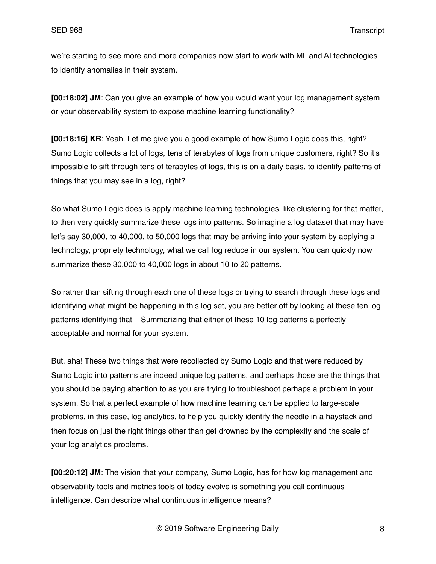we're starting to see more and more companies now start to work with ML and AI technologies to identify anomalies in their system.

**[00:18:02] JM**: Can you give an example of how you would want your log management system or your observability system to expose machine learning functionality?

**[00:18:16] KR**: Yeah. Let me give you a good example of how Sumo Logic does this, right? Sumo Logic collects a lot of logs, tens of terabytes of logs from unique customers, right? So it's impossible to sift through tens of terabytes of logs, this is on a daily basis, to identify patterns of things that you may see in a log, right?

So what Sumo Logic does is apply machine learning technologies, like clustering for that matter, to then very quickly summarize these logs into patterns. So imagine a log dataset that may have let's say 30,000, to 40,000, to 50,000 logs that may be arriving into your system by applying a technology, propriety technology, what we call log reduce in our system. You can quickly now summarize these 30,000 to 40,000 logs in about 10 to 20 patterns.

So rather than sifting through each one of these logs or trying to search through these logs and identifying what might be happening in this log set, you are better off by looking at these ten log patterns identifying that – Summarizing that either of these 10 log patterns a perfectly acceptable and normal for your system.

But, aha! These two things that were recollected by Sumo Logic and that were reduced by Sumo Logic into patterns are indeed unique log patterns, and perhaps those are the things that you should be paying attention to as you are trying to troubleshoot perhaps a problem in your system. So that a perfect example of how machine learning can be applied to large-scale problems, in this case, log analytics, to help you quickly identify the needle in a haystack and then focus on just the right things other than get drowned by the complexity and the scale of your log analytics problems.

**[00:20:12] JM**: The vision that your company, Sumo Logic, has for how log management and observability tools and metrics tools of today evolve is something you call continuous intelligence. Can describe what continuous intelligence means?

© 2019 Software Engineering Daily 8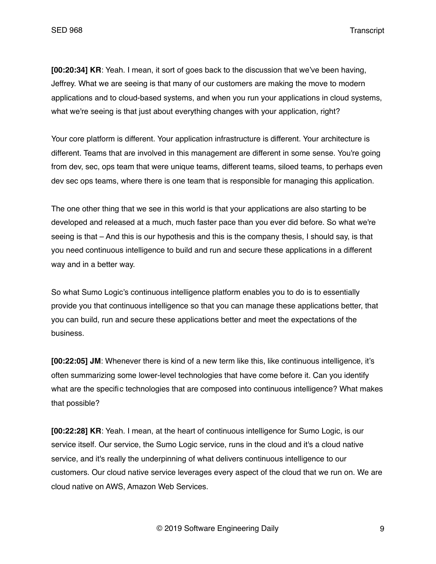SED 968 Transcript

**[00:20:34] KR**: Yeah. I mean, it sort of goes back to the discussion that we've been having, Jeffrey. What we are seeing is that many of our customers are making the move to modern applications and to cloud-based systems, and when you run your applications in cloud systems, what we're seeing is that just about everything changes with your application, right?

Your core platform is different. Your application infrastructure is different. Your architecture is different. Teams that are involved in this management are different in some sense. You're going from dev, sec, ops team that were unique teams, different teams, siloed teams, to perhaps even dev sec ops teams, where there is one team that is responsible for managing this application.

The one other thing that we see in this world is that your applications are also starting to be developed and released at a much, much faster pace than you ever did before. So what we're seeing is that – And this is our hypothesis and this is the company thesis, I should say, is that you need continuous intelligence to build and run and secure these applications in a different way and in a better way.

So what Sumo Logic's continuous intelligence platform enables you to do is to essentially provide you that continuous intelligence so that you can manage these applications better, that you can build, run and secure these applications better and meet the expectations of the business.

**[00:22:05] JM**: Whenever there is kind of a new term like this, like continuous intelligence, it's often summarizing some lower-level technologies that have come before it. Can you identify what are the specific technologies that are composed into continuous intelligence? What makes that possible?

**[00:22:28] KR**: Yeah. I mean, at the heart of continuous intelligence for Sumo Logic, is our service itself. Our service, the Sumo Logic service, runs in the cloud and it's a cloud native service, and it's really the underpinning of what delivers continuous intelligence to our customers. Our cloud native service leverages every aspect of the cloud that we run on. We are cloud native on AWS, Amazon Web Services.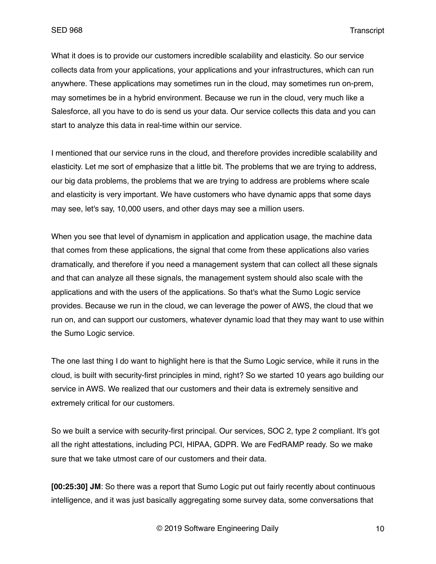What it does is to provide our customers incredible scalability and elasticity. So our service collects data from your applications, your applications and your infrastructures, which can run anywhere. These applications may sometimes run in the cloud, may sometimes run on-prem, may sometimes be in a hybrid environment. Because we run in the cloud, very much like a Salesforce, all you have to do is send us your data. Our service collects this data and you can start to analyze this data in real-time within our service.

I mentioned that our service runs in the cloud, and therefore provides incredible scalability and elasticity. Let me sort of emphasize that a little bit. The problems that we are trying to address, our big data problems, the problems that we are trying to address are problems where scale and elasticity is very important. We have customers who have dynamic apps that some days may see, let's say, 10,000 users, and other days may see a million users.

When you see that level of dynamism in application and application usage, the machine data that comes from these applications, the signal that come from these applications also varies dramatically, and therefore if you need a management system that can collect all these signals and that can analyze all these signals, the management system should also scale with the applications and with the users of the applications. So that's what the Sumo Logic service provides. Because we run in the cloud, we can leverage the power of AWS, the cloud that we run on, and can support our customers, whatever dynamic load that they may want to use within the Sumo Logic service.

The one last thing I do want to highlight here is that the Sumo Logic service, while it runs in the cloud, is built with security-first principles in mind, right? So we started 10 years ago building our service in AWS. We realized that our customers and their data is extremely sensitive and extremely critical for our customers.

So we built a service with security-first principal. Our services, SOC 2, type 2 compliant. It's got all the right attestations, including PCI, HIPAA, GDPR. We are FedRAMP ready. So we make sure that we take utmost care of our customers and their data.

**[00:25:30] JM**: So there was a report that Sumo Logic put out fairly recently about continuous intelligence, and it was just basically aggregating some survey data, some conversations that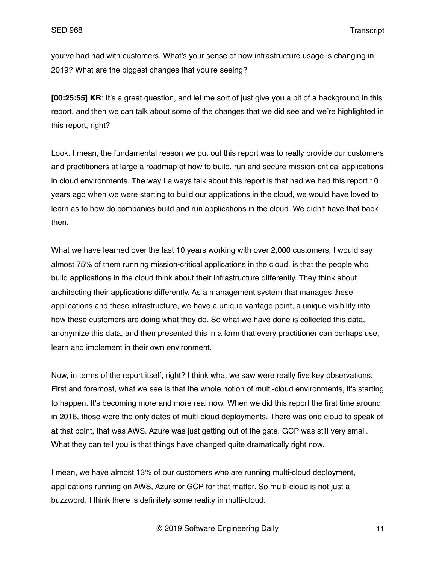you've had had with customers. What's your sense of how infrastructure usage is changing in 2019? What are the biggest changes that you're seeing?

**[00:25:55] KR**: It's a great question, and let me sort of just give you a bit of a background in this report, and then we can talk about some of the changes that we did see and we're highlighted in this report, right?

Look. I mean, the fundamental reason we put out this report was to really provide our customers and practitioners at large a roadmap of how to build, run and secure mission-critical applications in cloud environments. The way I always talk about this report is that had we had this report 10 years ago when we were starting to build our applications in the cloud, we would have loved to learn as to how do companies build and run applications in the cloud. We didn't have that back then.

What we have learned over the last 10 years working with over 2,000 customers, I would say almost 75% of them running mission-critical applications in the cloud, is that the people who build applications in the cloud think about their infrastructure differently. They think about architecting their applications differently. As a management system that manages these applications and these infrastructure, we have a unique vantage point, a unique visibility into how these customers are doing what they do. So what we have done is collected this data, anonymize this data, and then presented this in a form that every practitioner can perhaps use, learn and implement in their own environment.

Now, in terms of the report itself, right? I think what we saw were really five key observations. First and foremost, what we see is that the whole notion of multi-cloud environments, it's starting to happen. It's becoming more and more real now. When we did this report the first time around in 2016, those were the only dates of multi-cloud deployments. There was one cloud to speak of at that point, that was AWS. Azure was just getting out of the gate. GCP was still very small. What they can tell you is that things have changed quite dramatically right now.

I mean, we have almost 13% of our customers who are running multi-cloud deployment, applications running on AWS, Azure or GCP for that matter. So multi-cloud is not just a buzzword. I think there is definitely some reality in multi-cloud.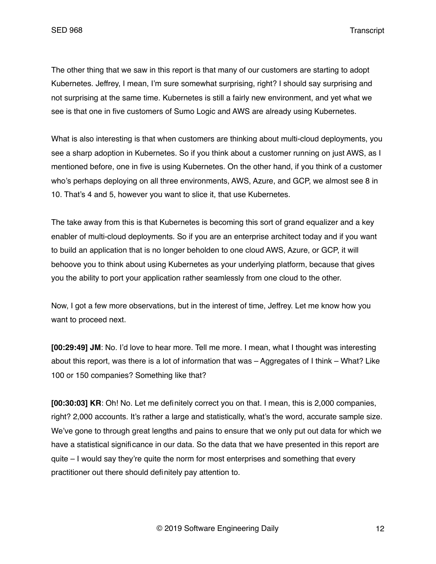SED 968 Transcript

The other thing that we saw in this report is that many of our customers are starting to adopt Kubernetes. Jeffrey, I mean, I'm sure somewhat surprising, right? I should say surprising and not surprising at the same time. Kubernetes is still a fairly new environment, and yet what we see is that one in five customers of Sumo Logic and AWS are already using Kubernetes.

What is also interesting is that when customers are thinking about multi-cloud deployments, you see a sharp adoption in Kubernetes. So if you think about a customer running on just AWS, as I mentioned before, one in five is using Kubernetes. On the other hand, if you think of a customer who's perhaps deploying on all three environments, AWS, Azure, and GCP, we almost see 8 in 10. That's 4 and 5, however you want to slice it, that use Kubernetes.

The take away from this is that Kubernetes is becoming this sort of grand equalizer and a key enabler of multi-cloud deployments. So if you are an enterprise architect today and if you want to build an application that is no longer beholden to one cloud AWS, Azure, or GCP, it will behoove you to think about using Kubernetes as your underlying platform, because that gives you the ability to port your application rather seamlessly from one cloud to the other.

Now, I got a few more observations, but in the interest of time, Jeffrey. Let me know how you want to proceed next.

**[00:29:49] JM**: No. I'd love to hear more. Tell me more. I mean, what I thought was interesting about this report, was there is a lot of information that was – Aggregates of I think – What? Like 100 or 150 companies? Something like that?

**[00:30:03] KR**: Oh! No. Let me definitely correct you on that. I mean, this is 2,000 companies, right? 2,000 accounts. It's rather a large and statistically, what's the word, accurate sample size. We've gone to through great lengths and pains to ensure that we only put out data for which we have a statistical significance in our data. So the data that we have presented in this report are quite – I would say they're quite the norm for most enterprises and something that every practitioner out there should definitely pay attention to.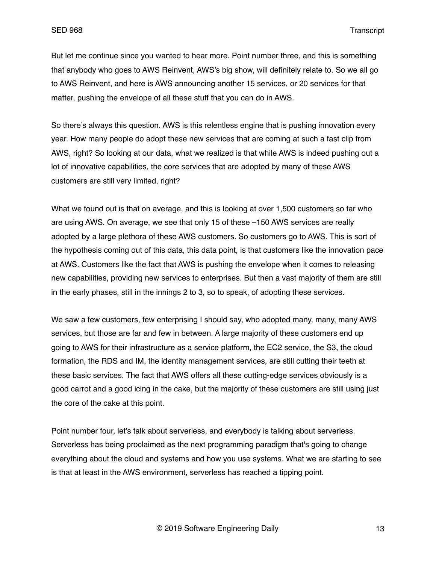But let me continue since you wanted to hear more. Point number three, and this is something that anybody who goes to AWS Reinvent, AWS's big show, will definitely relate to. So we all go to AWS Reinvent, and here is AWS announcing another 15 services, or 20 services for that matter, pushing the envelope of all these stuff that you can do in AWS.

So there's always this question. AWS is this relentless engine that is pushing innovation every year. How many people do adopt these new services that are coming at such a fast clip from AWS, right? So looking at our data, what we realized is that while AWS is indeed pushing out a lot of innovative capabilities, the core services that are adopted by many of these AWS customers are still very limited, right?

What we found out is that on average, and this is looking at over 1,500 customers so far who are using AWS. On average, we see that only 15 of these –150 AWS services are really adopted by a large plethora of these AWS customers. So customers go to AWS. This is sort of the hypothesis coming out of this data, this data point, is that customers like the innovation pace at AWS. Customers like the fact that AWS is pushing the envelope when it comes to releasing new capabilities, providing new services to enterprises. But then a vast majority of them are still in the early phases, still in the innings 2 to 3, so to speak, of adopting these services.

We saw a few customers, few enterprising I should say, who adopted many, many, many AWS services, but those are far and few in between. A large majority of these customers end up going to AWS for their infrastructure as a service platform, the EC2 service, the S3, the cloud formation, the RDS and IM, the identity management services, are still cutting their teeth at these basic services. The fact that AWS offers all these cutting-edge services obviously is a good carrot and a good icing in the cake, but the majority of these customers are still using just the core of the cake at this point.

Point number four, let's talk about serverless, and everybody is talking about serverless. Serverless has being proclaimed as the next programming paradigm that's going to change everything about the cloud and systems and how you use systems. What we are starting to see is that at least in the AWS environment, serverless has reached a tipping point.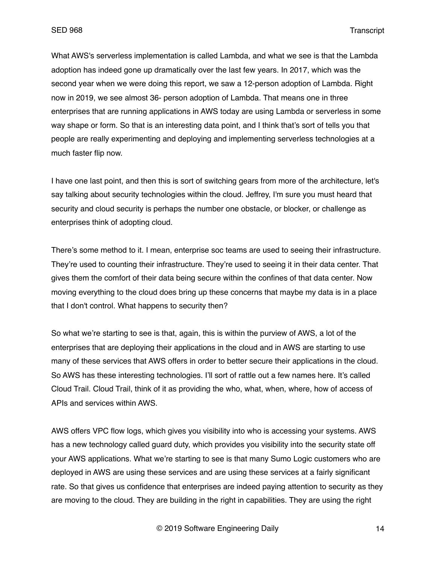What AWS's serverless implementation is called Lambda, and what we see is that the Lambda adoption has indeed gone up dramatically over the last few years. In 2017, which was the second year when we were doing this report, we saw a 12-person adoption of Lambda. Right now in 2019, we see almost 36- person adoption of Lambda. That means one in three enterprises that are running applications in AWS today are using Lambda or serverless in some way shape or form. So that is an interesting data point, and I think that's sort of tells you that people are really experimenting and deploying and implementing serverless technologies at a much faster flip now.

I have one last point, and then this is sort of switching gears from more of the architecture, let's say talking about security technologies within the cloud. Jeffrey, I'm sure you must heard that security and cloud security is perhaps the number one obstacle, or blocker, or challenge as enterprises think of adopting cloud.

There's some method to it. I mean, enterprise soc teams are used to seeing their infrastructure. They're used to counting their infrastructure. They're used to seeing it in their data center. That gives them the comfort of their data being secure within the confines of that data center. Now moving everything to the cloud does bring up these concerns that maybe my data is in a place that I don't control. What happens to security then?

So what we're starting to see is that, again, this is within the purview of AWS, a lot of the enterprises that are deploying their applications in the cloud and in AWS are starting to use many of these services that AWS offers in order to better secure their applications in the cloud. So AWS has these interesting technologies. I'll sort of rattle out a few names here. It's called Cloud Trail. Cloud Trail, think of it as providing the who, what, when, where, how of access of APIs and services within AWS.

AWS offers VPC flow logs, which gives you visibility into who is accessing your systems. AWS has a new technology called guard duty, which provides you visibility into the security state off your AWS applications. What we're starting to see is that many Sumo Logic customers who are deployed in AWS are using these services and are using these services at a fairly significant rate. So that gives us confidence that enterprises are indeed paying attention to security as they are moving to the cloud. They are building in the right in capabilities. They are using the right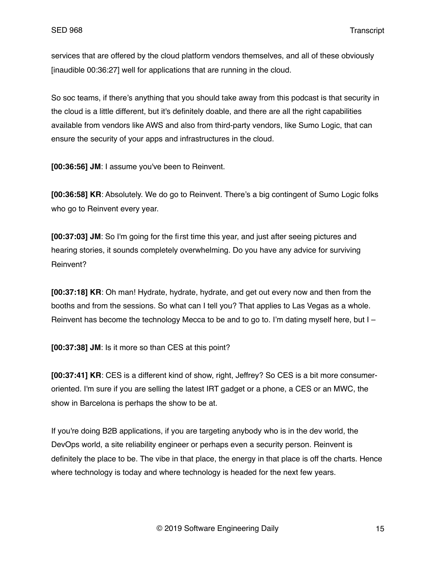services that are offered by the cloud platform vendors themselves, and all of these obviously [inaudible 00:36:27] well for applications that are running in the cloud.

So soc teams, if there's anything that you should take away from this podcast is that security in the cloud is a little different, but it's definitely doable, and there are all the right capabilities available from vendors like AWS and also from third-party vendors, like Sumo Logic, that can ensure the security of your apps and infrastructures in the cloud.

**[00:36:56] JM**: I assume you've been to Reinvent.

**[00:36:58] KR**: Absolutely. We do go to Reinvent. There's a big contingent of Sumo Logic folks who go to Reinvent every year.

**[00:37:03] JM**: So I'm going for the first time this year, and just after seeing pictures and hearing stories, it sounds completely overwhelming. Do you have any advice for surviving Reinvent?

**[00:37:18] KR**: Oh man! Hydrate, hydrate, hydrate, and get out every now and then from the booths and from the sessions. So what can I tell you? That applies to Las Vegas as a whole. Reinvent has become the technology Mecca to be and to go to. I'm dating myself here, but I –

**[00:37:38] JM**: Is it more so than CES at this point?

**[00:37:41] KR**: CES is a different kind of show, right, Jeffrey? So CES is a bit more consumeroriented. I'm sure if you are selling the latest IRT gadget or a phone, a CES or an MWC, the show in Barcelona is perhaps the show to be at.

If you're doing B2B applications, if you are targeting anybody who is in the dev world, the DevOps world, a site reliability engineer or perhaps even a security person. Reinvent is definitely the place to be. The vibe in that place, the energy in that place is off the charts. Hence where technology is today and where technology is headed for the next few years.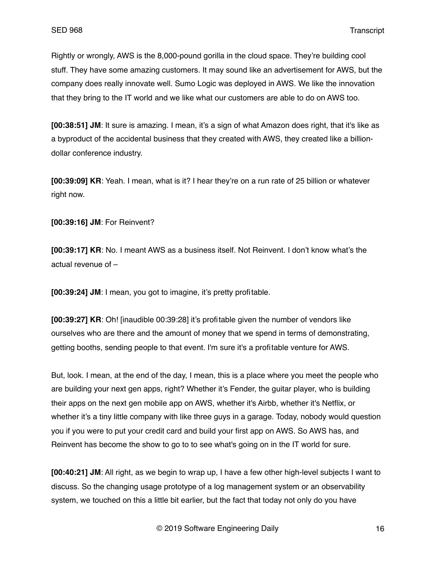Rightly or wrongly, AWS is the 8,000-pound gorilla in the cloud space. They're building cool stuff. They have some amazing customers. It may sound like an advertisement for AWS, but the company does really innovate well. Sumo Logic was deployed in AWS. We like the innovation that they bring to the IT world and we like what our customers are able to do on AWS too.

**[00:38:51] JM**: It sure is amazing. I mean, it's a sign of what Amazon does right, that it's like as a byproduct of the accidental business that they created with AWS, they created like a billiondollar conference industry.

**[00:39:09] KR**: Yeah. I mean, what is it? I hear they're on a run rate of 25 billion or whatever right now.

**[00:39:16] JM**: For Reinvent?

**[00:39:17] KR**: No. I meant AWS as a business itself. Not Reinvent. I don't know what's the actual revenue of –

**[00:39:24] JM**: I mean, you got to imagine, it's pretty profitable.

**[00:39:27] KR**: Oh! [inaudible 00:39:28] it's profitable given the number of vendors like ourselves who are there and the amount of money that we spend in terms of demonstrating, getting booths, sending people to that event. I'm sure it's a profitable venture for AWS.

But, look. I mean, at the end of the day, I mean, this is a place where you meet the people who are building your next gen apps, right? Whether it's Fender, the guitar player, who is building their apps on the next gen mobile app on AWS, whether it's Airbb, whether it's Netflix, or whether it's a tiny little company with like three guys in a garage. Today, nobody would question you if you were to put your credit card and build your first app on AWS. So AWS has, and Reinvent has become the show to go to to see what's going on in the IT world for sure.

**[00:40:21] JM**: All right, as we begin to wrap up, I have a few other high-level subjects I want to discuss. So the changing usage prototype of a log management system or an observability system, we touched on this a little bit earlier, but the fact that today not only do you have

© 2019 Software Engineering Daily 16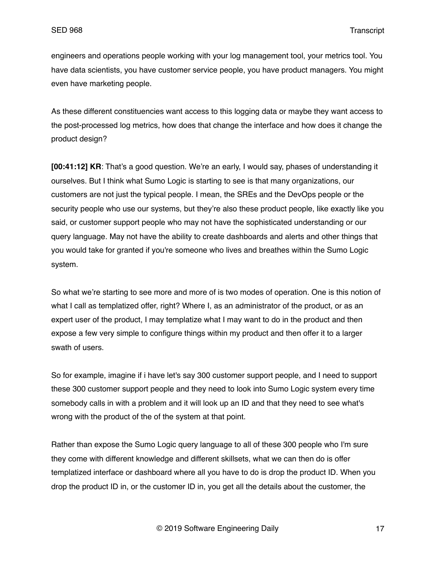engineers and operations people working with your log management tool, your metrics tool. You have data scientists, you have customer service people, you have product managers. You might even have marketing people.

As these different constituencies want access to this logging data or maybe they want access to the post-processed log metrics, how does that change the interface and how does it change the product design?

**[00:41:12] KR**: That's a good question. We're an early, I would say, phases of understanding it ourselves. But I think what Sumo Logic is starting to see is that many organizations, our customers are not just the typical people. I mean, the SREs and the DevOps people or the security people who use our systems, but they're also these product people, like exactly like you said, or customer support people who may not have the sophisticated understanding or our query language. May not have the ability to create dashboards and alerts and other things that you would take for granted if you're someone who lives and breathes within the Sumo Logic system.

So what we're starting to see more and more of is two modes of operation. One is this notion of what I call as templatized offer, right? Where I, as an administrator of the product, or as an expert user of the product, I may templatize what I may want to do in the product and then expose a few very simple to configure things within my product and then offer it to a larger swath of users.

So for example, imagine if i have let's say 300 customer support people, and I need to support these 300 customer support people and they need to look into Sumo Logic system every time somebody calls in with a problem and it will look up an ID and that they need to see what's wrong with the product of the of the system at that point.

Rather than expose the Sumo Logic query language to all of these 300 people who I'm sure they come with different knowledge and different skillsets, what we can then do is offer templatized interface or dashboard where all you have to do is drop the product ID. When you drop the product ID in, or the customer ID in, you get all the details about the customer, the